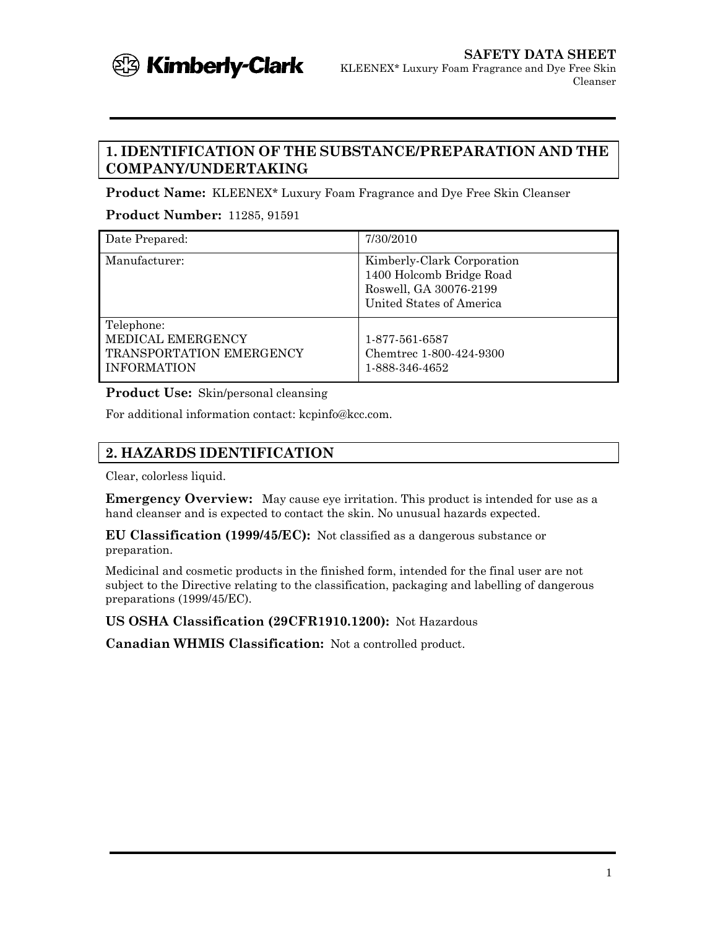

## **1. IDENTIFICATION OF THE SUBSTANCE/PREPARATION AND THE COMPANY/UNDERTAKING**

**Product Name:** KLEENEX\* Luxury Foam Fragrance and Dye Free Skin Cleanser

**Product Number:** 11285, 91591

| Date Prepared:                                                                    | 7/30/2010                                                                                                    |
|-----------------------------------------------------------------------------------|--------------------------------------------------------------------------------------------------------------|
| Manufacturer:                                                                     | Kimberly-Clark Corporation<br>1400 Holcomb Bridge Road<br>Roswell, GA 30076-2199<br>United States of America |
| Telephone:<br>MEDICAL EMERGENCY<br>TRANSPORTATION EMERGENCY<br><b>INFORMATION</b> | 1-877-561-6587<br>Chemtrec 1-800-424-9300<br>1-888-346-4652                                                  |

**Product Use:** Skin/personal cleansing

For additional information contact: kcpinfo@kcc.com.

## **2. HAZARDS IDENTIFICATION**

Clear, colorless liquid.

**Emergency Overview:** May cause eye irritation. This product is intended for use as a hand cleanser and is expected to contact the skin. No unusual hazards expected.

**EU Classification (1999/45/EC):** Not classified as a dangerous substance or preparation.

Medicinal and cosmetic products in the finished form, intended for the final user are not subject to the Directive relating to the classification, packaging and labelling of dangerous preparations (1999/45/EC).

**US OSHA Classification (29CFR1910.1200):** Not Hazardous

**Canadian WHMIS Classification:** Not a controlled product.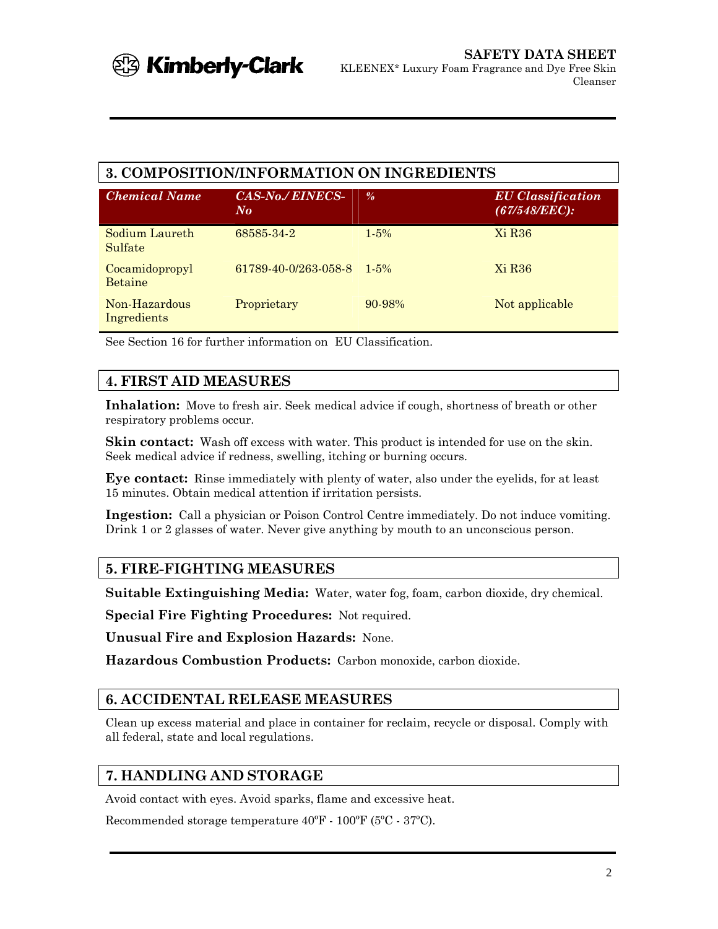## **3. COMPOSITION/INFORMATION ON INGREDIENTS**

| <b>Chemical Name</b>             | CAS-No./EINECS-<br>$N_{\boldsymbol{O}}$ | $\frac{0}{a}$ | <b>EU</b> Classification<br>(67/548/EEC): |
|----------------------------------|-----------------------------------------|---------------|-------------------------------------------|
| Sodium Laureth<br>Sulfate        | 68585 34 2                              | $1.5\%$       | Xi R <sub>36</sub>                        |
| Cocamidopropyl<br><b>Betaine</b> | 61789-40-0/263-058-8                    | $1.5\%$       | Xi R <sub>36</sub>                        |
| Non-Hazardous<br>Ingredients     | Proprietary                             | $90 - 98\%$   | Not applicable                            |

See Section 16 for further information on EU Classification.

# **4. FIRST AID MEASURES**

**Inhalation:** Move to fresh air. Seek medical advice if cough, shortness of breath or other respiratory problems occur.

**Skin contact:** Wash off excess with water. This product is intended for use on the skin. Seek medical advice if redness, swelling, itching or burning occurs.

**Eye contact:** Rinse immediately with plenty of water, also under the eyelids, for at least 15 minutes. Obtain medical attention if irritation persists.

**Ingestion:** Call a physician or Poison Control Centre immediately. Do not induce vomiting. Drink 1 or 2 glasses of water. Never give anything by mouth to an unconscious person.

# **5. FIRE-FIGHTING MEASURES**

**Suitable Extinguishing Media:** Water, water fog, foam, carbon dioxide, dry chemical.

**Special Fire Fighting Procedures:** Not required.

**Unusual Fire and Explosion Hazards:** None.

**Hazardous Combustion Products:** Carbon monoxide, carbon dioxide.

## **6. ACCIDENTAL RELEASE MEASURES**

Clean up excess material and place in container for reclaim, recycle or disposal. Comply with all federal, state and local regulations.

# **7. HANDLING AND STORAGE**

Avoid contact with eyes. Avoid sparks, flame and excessive heat.

Recommended storage temperature 40ºF - 100ºF (5ºC - 37ºC).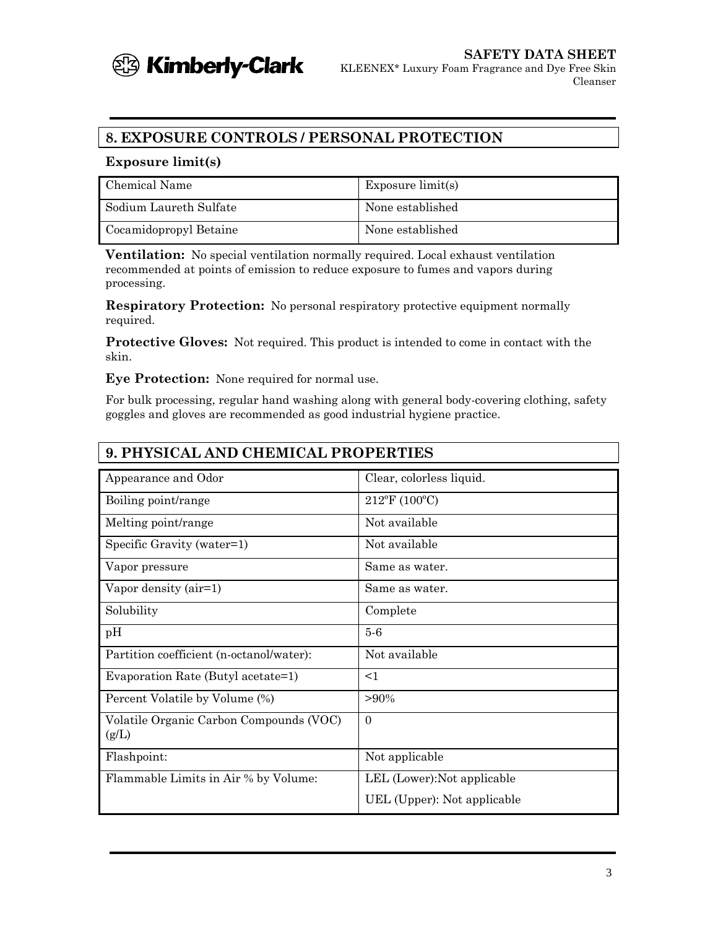

# **8. EXPOSURE CONTROLS / PERSONAL PROTECTION**

#### **Exposure limit(s)**

| Chemical Name          | Exposure $\text{limit}(s)$ |
|------------------------|----------------------------|
| Sodium Laureth Sulfate | None established           |
| Cocamidopropyl Betaine | None established           |

**Ventilation:** No special ventilation normally required. Local exhaust ventilation recommended at points of emission to reduce exposure to fumes and vapors during processing.

**Respiratory Protection:** No personal respiratory protective equipment normally required.

**Protective Gloves:** Not required. This product is intended to come in contact with the skin.

**Eye Protection:** None required for normal use.

For bulk processing, regular hand washing along with general body-covering clothing, safety goggles and gloves are recommended as good industrial hygiene practice.

| <b>9. PHYSICAL AND CHEMICAL PROPERTIES</b>       |                             |  |  |
|--------------------------------------------------|-----------------------------|--|--|
| Appearance and Odor                              | Clear, colorless liquid.    |  |  |
| Boiling point/range                              | $212^{\circ}$ F (100°C)     |  |  |
| Melting point/range                              | Not available               |  |  |
| Specific Gravity (water=1)                       | Not available               |  |  |
| Vapor pressure                                   | Same as water.              |  |  |
| Vapor density (air=1)                            | Same as water.              |  |  |
| Solubility                                       | Complete                    |  |  |
| pH                                               | $5-6$                       |  |  |
| Partition coefficient (n-octanol/water):         | Not available               |  |  |
| Evaporation Rate (Butyl acetate=1)               | $<$ 1                       |  |  |
| Percent Volatile by Volume (%)                   | $>90\%$                     |  |  |
| Volatile Organic Carbon Compounds (VOC)<br>(g/L) | $\Omega$                    |  |  |
| Flashpoint:                                      | Not applicable              |  |  |
| Flammable Limits in Air % by Volume:             | LEL (Lower): Not applicable |  |  |
|                                                  | UEL (Upper): Not applicable |  |  |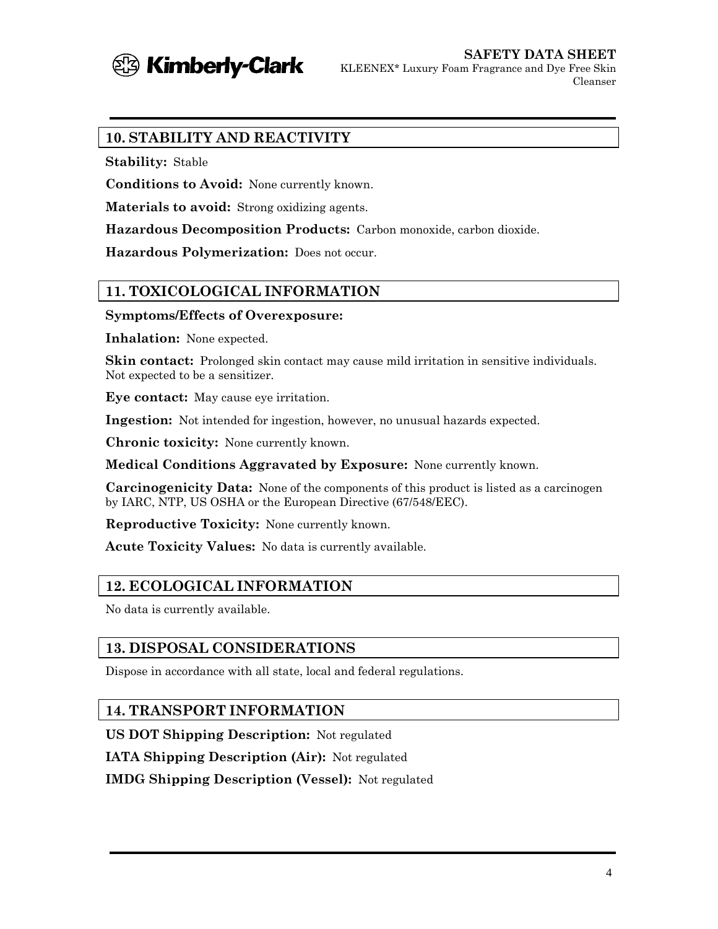

Cleanser

#### **10. STABILITY AND REACTIVITY**

**Stability:** Stable

**Conditions to Avoid:** None currently known.

**Materials to avoid:** Strong oxidizing agents.

**Hazardous Decomposition Products:** Carbon monoxide, carbon dioxide.

**Hazardous Polymerization:** Does not occur.

## **11. TOXICOLOGICAL INFORMATION**

#### **Symptoms/Effects of Overexposure:**

**Inhalation:** None expected.

**Skin contact:** Prolonged skin contact may cause mild irritation in sensitive individuals. Not expected to be a sensitizer.

**Eye contact:** May cause eye irritation.

**Ingestion:** Not intended for ingestion, however, no unusual hazards expected.

**Chronic toxicity:** None currently known.

**Medical Conditions Aggravated by Exposure:** None currently known.

**Carcinogenicity Data:** None of the components of this product is listed as a carcinogen by IARC, NTP, US OSHA or the European Directive (67/548/EEC).

**Reproductive Toxicity:** None currently known.

**Acute Toxicity Values:** No data is currently available.

## **12. ECOLOGICAL INFORMATION**

No data is currently available.

## **13. DISPOSAL CONSIDERATIONS**

Dispose in accordance with all state, local and federal regulations.

#### **14. TRANSPORT INFORMATION**

**US DOT Shipping Description:** Not regulated

**IATA Shipping Description (Air):** Not regulated

**IMDG Shipping Description (Vessel):** Not regulated